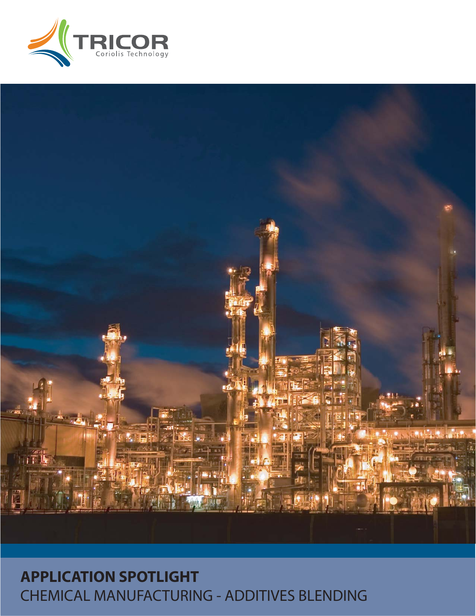



# **APPLICATION SPOTLIGHT** CHEMICAL MANUFACTURING - ADDITIVES BLENDING